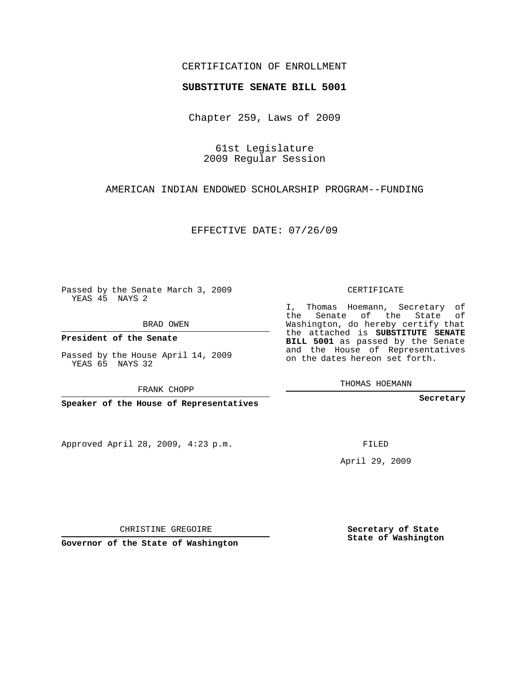## CERTIFICATION OF ENROLLMENT

## **SUBSTITUTE SENATE BILL 5001**

Chapter 259, Laws of 2009

61st Legislature 2009 Regular Session

AMERICAN INDIAN ENDOWED SCHOLARSHIP PROGRAM--FUNDING

EFFECTIVE DATE: 07/26/09

Passed by the Senate March 3, 2009 YEAS 45 NAYS 2

BRAD OWEN

**President of the Senate**

Passed by the House April 14, 2009 YEAS 65 NAYS 32

FRANK CHOPP

**Speaker of the House of Representatives**

Approved April 28, 2009, 4:23 p.m.

CERTIFICATE

I, Thomas Hoemann, Secretary of the Senate of the State of Washington, do hereby certify that the attached is **SUBSTITUTE SENATE BILL 5001** as passed by the Senate and the House of Representatives on the dates hereon set forth.

THOMAS HOEMANN

**Secretary**

FILED

April 29, 2009

**Governor of the State of Washington**

CHRISTINE GREGOIRE

**Secretary of State State of Washington**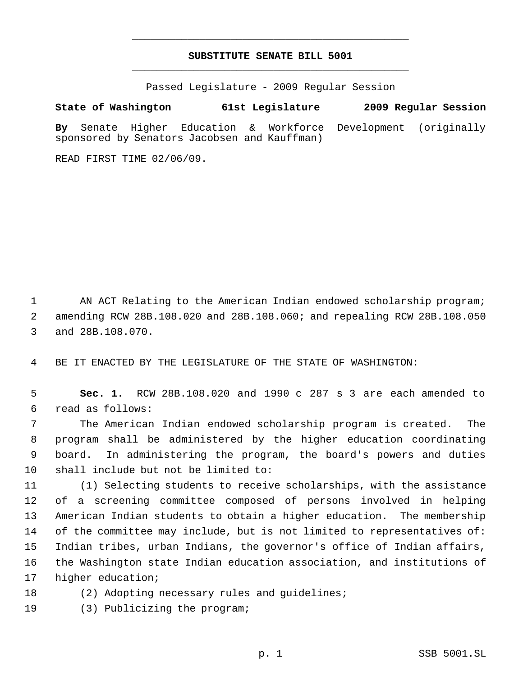## **SUBSTITUTE SENATE BILL 5001** \_\_\_\_\_\_\_\_\_\_\_\_\_\_\_\_\_\_\_\_\_\_\_\_\_\_\_\_\_\_\_\_\_\_\_\_\_\_\_\_\_\_\_\_\_

\_\_\_\_\_\_\_\_\_\_\_\_\_\_\_\_\_\_\_\_\_\_\_\_\_\_\_\_\_\_\_\_\_\_\_\_\_\_\_\_\_\_\_\_\_

Passed Legislature - 2009 Regular Session

## **State of Washington 61st Legislature 2009 Regular Session**

**By** Senate Higher Education & Workforce Development (originally sponsored by Senators Jacobsen and Kauffman)

READ FIRST TIME 02/06/09.

1 AN ACT Relating to the American Indian endowed scholarship program; amending RCW 28B.108.020 and 28B.108.060; and repealing RCW 28B.108.050 and 28B.108.070.

BE IT ENACTED BY THE LEGISLATURE OF THE STATE OF WASHINGTON:

 **Sec. 1.** RCW 28B.108.020 and 1990 c 287 s 3 are each amended to read as follows:

 The American Indian endowed scholarship program is created. The program shall be administered by the higher education coordinating board. In administering the program, the board's powers and duties shall include but not be limited to:

 (1) Selecting students to receive scholarships, with the assistance of a screening committee composed of persons involved in helping American Indian students to obtain a higher education. The membership of the committee may include, but is not limited to representatives of: Indian tribes, urban Indians, the governor's office of Indian affairs, the Washington state Indian education association, and institutions of higher education;

(2) Adopting necessary rules and guidelines;

(3) Publicizing the program;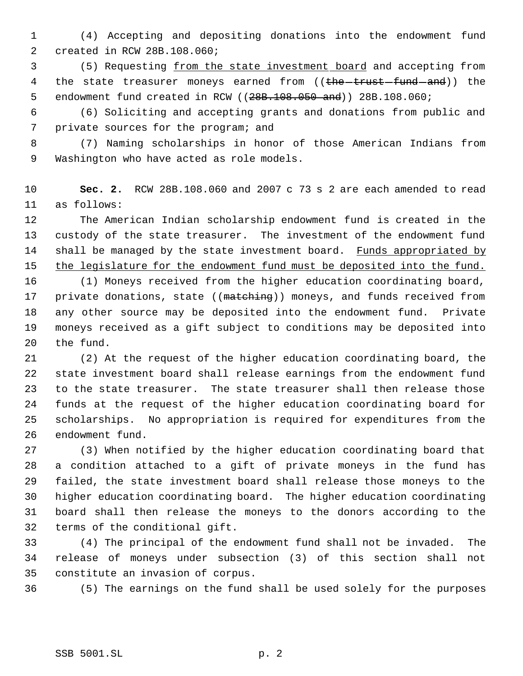(4) Accepting and depositing donations into the endowment fund created in RCW 28B.108.060;

 (5) Requesting from the state investment board and accepting from 4 the state treasurer moneys earned from ((the -trust -fund and)) the 5 endowment fund created in RCW ((28B.108.050 and)) 28B.108.060;

 (6) Soliciting and accepting grants and donations from public and private sources for the program; and

 (7) Naming scholarships in honor of those American Indians from Washington who have acted as role models.

 **Sec. 2.** RCW 28B.108.060 and 2007 c 73 s 2 are each amended to read as follows:

 The American Indian scholarship endowment fund is created in the custody of the state treasurer. The investment of the endowment fund 14 shall be managed by the state investment board. Funds appropriated by 15 the legislature for the endowment fund must be deposited into the fund.

 (1) Moneys received from the higher education coordinating board, 17 private donations, state ((matching)) moneys, and funds received from any other source may be deposited into the endowment fund. Private moneys received as a gift subject to conditions may be deposited into the fund.

 (2) At the request of the higher education coordinating board, the state investment board shall release earnings from the endowment fund to the state treasurer. The state treasurer shall then release those funds at the request of the higher education coordinating board for scholarships. No appropriation is required for expenditures from the endowment fund.

 (3) When notified by the higher education coordinating board that a condition attached to a gift of private moneys in the fund has failed, the state investment board shall release those moneys to the higher education coordinating board. The higher education coordinating board shall then release the moneys to the donors according to the terms of the conditional gift.

 (4) The principal of the endowment fund shall not be invaded. The release of moneys under subsection (3) of this section shall not constitute an invasion of corpus.

(5) The earnings on the fund shall be used solely for the purposes